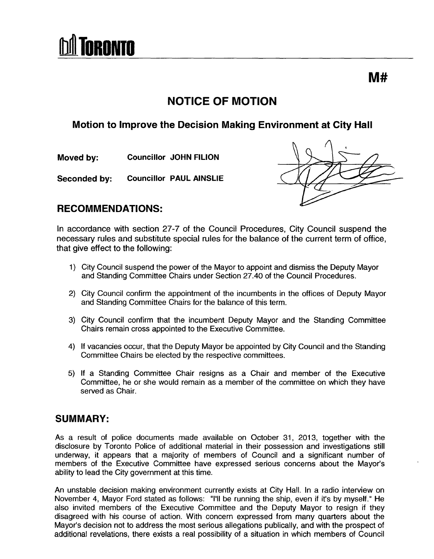# **RONTO**

## **NOTICE OF MOTION**

### **Motion to Improve the Decision Making Environment at City Hall**

**Moved by: Councillor JOHN FILION** 

**Seconded by: Councillor PAUL AINSLIE** 

#### **RECOMMENDATIONS:**

In accordance with section 27-7 of the Council Procedures, City Council suspend the necessary rules and substitute special rules for the balance of the current term of office, that give effect to the following:

- 1) City Council suspend the power of the Mayor to appoint and dismiss the Deputy Mayor and Standing Committee Chairs under Section 27.40 of the Council Procedures.
- 2) City Council confirm the appointment of the incumbents in the offices of Deputy Mayor and Standing Committee Chairs for the balance of this term.
- 3) City Council confirm that the incumbent Deputy Mayor and the Standing Committee Chairs remain cross appointed to the Executive Committee.
- 4) If vacancies occur, that the Deputy Mayor be appointed by City Council and the Standing Committee Chairs be elected by the respective committees.
- 5) If a Standing Committee Chair resigns as a Chair and member of the Executive Committee, he or she would remain as a member of the committee on which they have served as Chair.

#### **SUMMARY:**

As a result of police documents made available on October 31, 2013, together with the disclosure by Toronto Police of additional material in their possession and investigations still underway, it appears that a majority of members of Council and a significant number of members of the Executive Committee have expressed serious concerns about the Mayor's ability to lead the City government at this time.

An unstable decision making environment currently exists at City Hall. In a radio interview on November 4, Mayor Ford stated as follows: "I'll be running the ship, even if it's by myself." He also invited members of the Executive Committee and the Deputy Mayor to resign if they disagreed with his course of action. With concern expressed from many quarters about the Mayor's decision not to address the most serious allegations publically, and with the prospect of additional revelations, there exists a real possibility of a situation in which members of Council